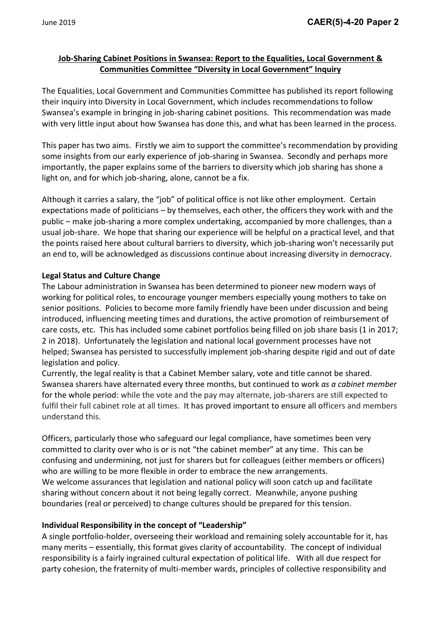# **Job-Sharing Cabinet Positions in Swansea: Report to the Equalities, Local Government & Communities Committee "Diversity in Local Government" Inquiry**

The Equalities, Local Government and Communities Committee has published its report following their inquiry into Diversity in Local Government, which includes recommendations to follow Swansea's example in bringing in job-sharing cabinet positions. This recommendation was made with very little input about how Swansea has done this, and what has been learned in the process.

This paper has two aims. Firstly we aim to support the committee's recommendation by providing some insights from our early experience of job-sharing in Swansea. Secondly and perhaps more importantly, the paper explains some of the barriers to diversity which job sharing has shone a light on, and for which job-sharing, alone, cannot be a fix.

Although it carries a salary, the "job" of political office is not like other employment. Certain expectations made of politicians – by themselves, each other, the officers they work with and the public – make job-sharing a more complex undertaking, accompanied by more challenges, than a usual job-share. We hope that sharing our experience will be helpful on a practical level, and that the points raised here about cultural barriers to diversity, which job-sharing won't necessarily put an end to, will be acknowledged as discussions continue about increasing diversity in democracy.

## **Legal Status and Culture Change**

The Labour administration in Swansea has been determined to pioneer new modern ways of working for political roles, to encourage younger members especially young mothers to take on senior positions. Policies to become more family friendly have been under discussion and being introduced, influencing meeting times and durations, the active promotion of reimbursement of care costs, etc. This has included some cabinet portfolios being filled on job share basis (1 in 2017; 2 in 2018). Unfortunately the legislation and national local government processes have not helped; Swansea has persisted to successfully implement job-sharing despite rigid and out of date legislation and policy.

Currently, the legal reality is that a Cabinet Member salary, vote and title cannot be shared. Swansea sharers have alternated every three months, but continued to work *as a cabinet member* for the whole period: while the vote and the pay may alternate, job-sharers are still expected to fulfil their full cabinet role at all times. It has proved important to ensure all officers and members understand this.

Officers, particularly those who safeguard our legal compliance, have sometimes been very committed to clarity over who is or is not "the cabinet member" at any time. This can be confusing and undermining, not just for sharers but for colleagues (either members or officers) who are willing to be more flexible in order to embrace the new arrangements. We welcome assurances that legislation and national policy will soon catch up and facilitate sharing without concern about it not being legally correct. Meanwhile, anyone pushing boundaries (real or perceived) to change cultures should be prepared for this tension.

## **Individual Responsibility in the concept of "Leadership"**

A single portfolio-holder, overseeing their workload and remaining solely accountable for it, has many merits – essentially, this format gives clarity of accountability. The concept of individual responsibility is a fairly ingrained cultural expectation of political life. With all due respect for party cohesion, the fraternity of multi-member wards, principles of collective responsibility and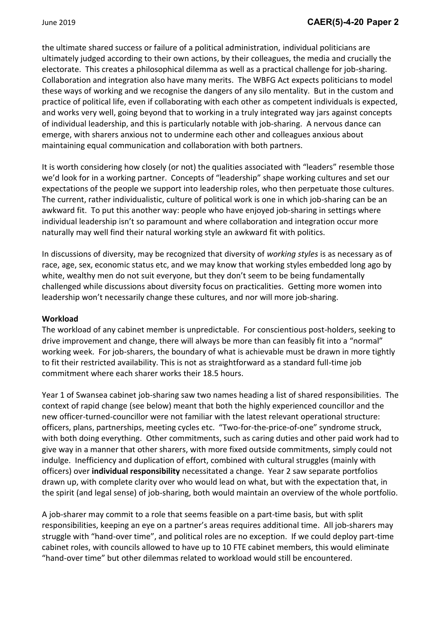the ultimate shared success or failure of a political administration, individual politicians are ultimately judged according to their own actions, by their colleagues, the media and crucially the electorate. This creates a philosophical dilemma as well as a practical challenge for job-sharing. Collaboration and integration also have many merits. The WBFG Act expects politicians to model these ways of working and we recognise the dangers of any silo mentality. But in the custom and practice of political life, even if collaborating with each other as competent individuals is expected, and works very well, going beyond that to working in a truly integrated way jars against concepts of individual leadership, and this is particularly notable with job-sharing. A nervous dance can emerge, with sharers anxious not to undermine each other and colleagues anxious about maintaining equal communication and collaboration with both partners.

It is worth considering how closely (or not) the qualities associated with "leaders" resemble those we'd look for in a working partner. Concepts of "leadership" shape working cultures and set our expectations of the people we support into leadership roles, who then perpetuate those cultures. The current, rather individualistic, culture of political work is one in which job-sharing can be an awkward fit. To put this another way: people who have enjoyed job-sharing in settings where individual leadership isn't so paramount and where collaboration and integration occur more naturally may well find their natural working style an awkward fit with politics.

In discussions of diversity, may be recognized that diversity of *working styles* is as necessary as of race, age, sex, economic status etc, and we may know that working styles embedded long ago by white, wealthy men do not suit everyone, but they don't seem to be being fundamentally challenged while discussions about diversity focus on practicalities. Getting more women into leadership won't necessarily change these cultures, and nor will more job-sharing.

### **Workload**

The workload of any cabinet member is unpredictable. For conscientious post-holders, seeking to drive improvement and change, there will always be more than can feasibly fit into a "normal" working week. For job-sharers, the boundary of what is achievable must be drawn in more tightly to fit their restricted availability. This is not as straightforward as a standard full-time job commitment where each sharer works their 18.5 hours.

Year 1 of Swansea cabinet job-sharing saw two names heading a list of shared responsibilities. The context of rapid change (see below) meant that both the highly experienced councillor and the new officer-turned-councillor were not familiar with the latest relevant operational structure: officers, plans, partnerships, meeting cycles etc. "Two-for-the-price-of-one" syndrome struck, with both doing everything. Other commitments, such as caring duties and other paid work had to give way in a manner that other sharers, with more fixed outside commitments, simply could not indulge. Inefficiency and duplication of effort, combined with cultural struggles (mainly with officers) over **individual responsibility** necessitated a change. Year 2 saw separate portfolios drawn up, with complete clarity over who would lead on what, but with the expectation that, in the spirit (and legal sense) of job-sharing, both would maintain an overview of the whole portfolio.

A job-sharer may commit to a role that seems feasible on a part-time basis, but with split responsibilities, keeping an eye on a partner's areas requires additional time. All job-sharers may struggle with "hand-over time", and political roles are no exception. If we could deploy part-time cabinet roles, with councils allowed to have up to 10 FTE cabinet members, this would eliminate "hand-over time" but other dilemmas related to workload would still be encountered.